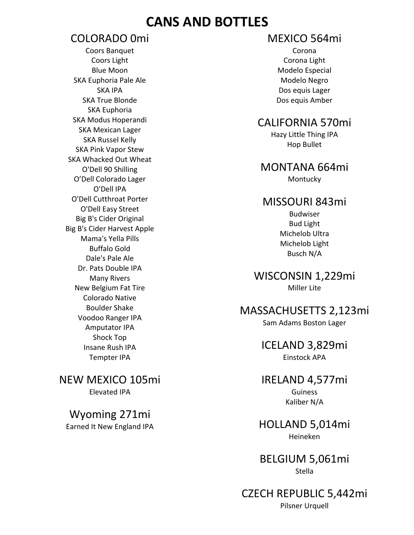## **CANS AND BOTTLES**

### COLORADO 0mi

Coors Banquet Coors Light Blue Moon SKA Euphoria Pale Ale SKA IPA SKA True Blonde SKA Euphoria SKA Modus Hoperandi SKA Mexican Lager SKA Russel Kelly SKA Pink Vapor Stew SKA Whacked Out Wheat O'Dell 90 Shilling O'Dell Colorado Lager O'Dell IPA O'Dell Cutthroat Porter O'Dell Easy Street Big B's Cider Original Big B's Cider Harvest Apple Mama's Yella Pills Buffalo Gold Dale's Pale Ale Dr. Pats Double IPA Many Rivers New Belgium Fat Tire Colorado Native Boulder Shake Voodoo Ranger IPA Amputator IPA Shock Top Insane Rush IPA Tempter IPA

NEW MEXICO 105mi Elevated IPA

Wyoming 271mi Earned It New England IPA

### MEXICO 564mi

Corona Corona Light Modelo Especial Modelo Negro Dos equis Lager Dos equis Amber

### CALIFORNIA 570mi

Hazy Little Thing IPA Hop Bullet

## MONTANA 664mi

Montucky

#### MISSOURI 843mi

Budwiser Bud Light Michelob Ultra Michelob Light Busch N/A

WISCONSIN 1,229mi Miller Lite

# MASSACHUSETTS 2,123mi

Sam Adams Boston Lager

#### ICELAND 3,829mi Einstock APA

# IRELAND 4,577mi

Guiness Kaliber N/A

#### HOLLAND 5,014mi Heineken

BELGIUM 5,061mi Stella

#### CZECH REPUBLIC 5,442mi Pilsner Urquell